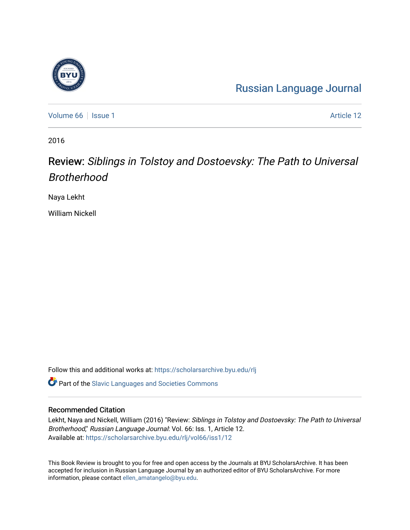## [Russian Language Journal](https://scholarsarchive.byu.edu/rlj)

[Volume 66](https://scholarsarchive.byu.edu/rlj/vol66) | [Issue 1](https://scholarsarchive.byu.edu/rlj/vol66/iss1) Article 12

2016

## Review: Siblings in Tolstoy and Dostoevsky: The Path to Universal Brotherhood

Naya Lekht

William Nickell

Follow this and additional works at: [https://scholarsarchive.byu.edu/rlj](https://scholarsarchive.byu.edu/rlj?utm_source=scholarsarchive.byu.edu%2Frlj%2Fvol66%2Fiss1%2F12&utm_medium=PDF&utm_campaign=PDFCoverPages)

**C** Part of the Slavic Languages and Societies Commons

## Recommended Citation

Lekht, Naya and Nickell, William (2016) "Review: Siblings in Tolstoy and Dostoevsky: The Path to Universal Brotherhood," Russian Language Journal: Vol. 66: Iss. 1, Article 12. Available at: [https://scholarsarchive.byu.edu/rlj/vol66/iss1/12](https://scholarsarchive.byu.edu/rlj/vol66/iss1/12?utm_source=scholarsarchive.byu.edu%2Frlj%2Fvol66%2Fiss1%2F12&utm_medium=PDF&utm_campaign=PDFCoverPages)

This Book Review is brought to you for free and open access by the Journals at BYU ScholarsArchive. It has been accepted for inclusion in Russian Language Journal by an authorized editor of BYU ScholarsArchive. For more information, please contact [ellen\\_amatangelo@byu.edu.](mailto:ellen_amatangelo@byu.edu)

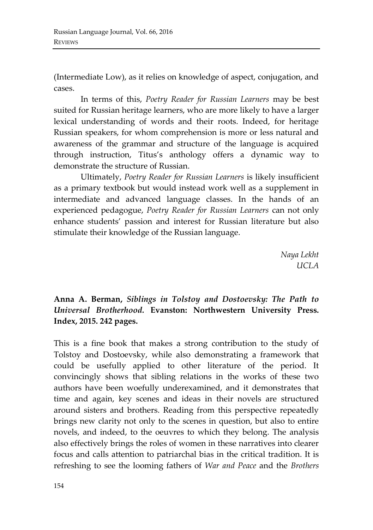(Intermediate Low), as it relies on knowledge of aspect, conjugation, and cases.

In terms of this, *Poetry Reader for Russian Learners* may be best suited for Russian heritage learners, who are more likely to have a larger lexical understanding of words and their roots. Indeed, for heritage Russian speakers, for whom comprehension is more or less natural and awareness of the grammar and structure of the language is acquired through instruction, Titus's anthology offers a dynamic way to demonstrate the structure of Russian.

Ultimately, *Poetry Reader for Russian Learners* is likely insufficient as a primary textbook but would instead work well as a supplement in intermediate and advanced language classes. In the hands of an experienced pedagogue, *Poetry Reader for Russian Learners* can not only enhance students' passion and interest for Russian literature but also stimulate their knowledge of the Russian language.

> *Naya Lekht UCLA*

**Anna A. Berman,** *Siblings in Tolstoy and Dostoevsky: The Path to Universal Brotherhood.* **Evanston: Northwestern University Press. Index, 2015. 242 pages.** 

This is a fine book that makes a strong contribution to the study of Tolstoy and Dostoevsky, while also demonstrating a framework that could be usefully applied to other literature of the period. It convincingly shows that sibling relations in the works of these two authors have been woefully underexamined, and it demonstrates that time and again, key scenes and ideas in their novels are structured around sisters and brothers. Reading from this perspective repeatedly brings new clarity not only to the scenes in question, but also to entire novels, and indeed, to the oeuvres to which they belong. The analysis also effectively brings the roles of women in these narratives into clearer focus and calls attention to patriarchal bias in the critical tradition. It is refreshing to see the looming fathers of *War and Peace* and the *Brothers*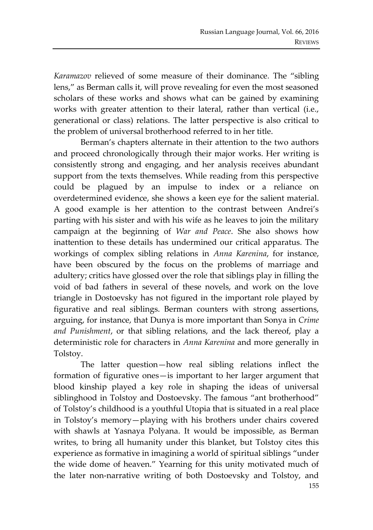*Karamazov* relieved of some measure of their dominance*.* The "sibling lens," as Berman calls it, will prove revealing for even the most seasoned scholars of these works and shows what can be gained by examining works with greater attention to their lateral, rather than vertical (i.e., generational or class) relations. The latter perspective is also critical to the problem of universal brotherhood referred to in her title.

Berman's chapters alternate in their attention to the two authors and proceed chronologically through their major works. Her writing is consistently strong and engaging, and her analysis receives abundant support from the texts themselves. While reading from this perspective could be plagued by an impulse to index or a reliance on overdetermined evidence, she shows a keen eye for the salient material. A good example is her attention to the contrast between Andrei's parting with his sister and with his wife as he leaves to join the military campaign at the beginning of *War and Peace*. She also shows how inattention to these details has undermined our critical apparatus. The workings of complex sibling relations in *Anna Karenina*, for instance, have been obscured by the focus on the problems of marriage and adultery; critics have glossed over the role that siblings play in filling the void of bad fathers in several of these novels, and work on the love triangle in Dostoevsky has not figured in the important role played by figurative and real siblings. Berman counters with strong assertions, arguing, for instance, that Dunya is more important than Sonya in *Crime and Punishment*, or that sibling relations, and the lack thereof, play a deterministic role for characters in *Anna Karenina* and more generally in Tolstoy.

The latter question—how real sibling relations inflect the formation of figurative ones—is important to her larger argument that blood kinship played a key role in shaping the ideas of universal siblinghood in Tolstoy and Dostoevsky. The famous "ant brotherhood" of Tolstoy's childhood is a youthful Utopia that is situated in a real place in Tolstoy's memory—playing with his brothers under chairs covered with shawls at Yasnaya Polyana. It would be impossible, as Berman writes, to bring all humanity under this blanket, but Tolstoy cites this experience as formative in imagining a world of spiritual siblings "under the wide dome of heaven." Yearning for this unity motivated much of the later non-narrative writing of both Dostoevsky and Tolstoy, and